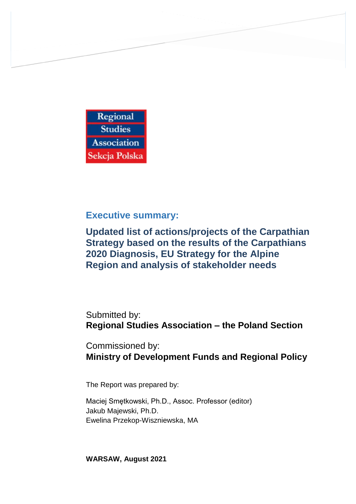

**Executive summary:**

**Updated list of actions/projects of the Carpathian Strategy based on the results of the Carpathians 2020 Diagnosis, EU Strategy for the Alpine Region and analysis of stakeholder needs** 

Submitted by: **Regional Studies Association – the Poland Section**

Commissioned by: **Ministry of Development Funds and Regional Policy**

The Report was prepared by:

Maciej Smętkowski, Ph.D., Assoc. Professor (editor) Jakub Majewski, Ph.D. Ewelina Przekop-Wiszniewska, MA

**WARSAW, August 2021**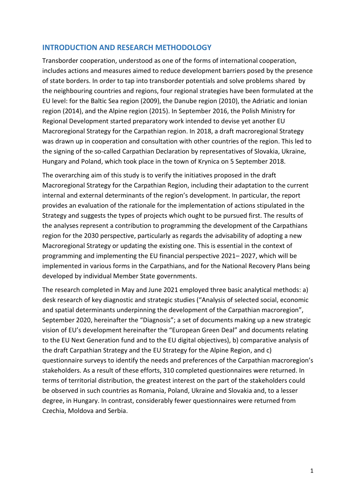### **INTRODUCTION AND RESEARCH METHODOLOGY**

Transborder cooperation, understood as one of the forms of international cooperation, includes actions and measures aimed to reduce development barriers posed by the presence of state borders. In order to tap into transborder potentials and solve problems shared by the neighbouring countries and regions, four regional strategies have been formulated at the EU level: for the Baltic Sea region (2009), the Danube region (2010), the Adriatic and Ionian region (2014), and the Alpine region (2015). In September 2016, the Polish Ministry for Regional Development started preparatory work intended to devise yet another EU Macroregional Strategy for the Carpathian region. In 2018, a draft macroregional Strategy was drawn up in cooperation and consultation with other countries of the region. This led to the signing of the so-called Carpathian Declaration by representatives of Slovakia, Ukraine, Hungary and Poland, which took place in the town of Krynica on 5 September 2018.

The overarching aim of this study is to verify the initiatives proposed in the draft Macroregional Strategy for the Carpathian Region, including their adaptation to the current internal and external determinants of the region's development. In particular, the report provides an evaluation of the rationale for the implementation of actions stipulated in the Strategy and suggests the types of projects which ought to be pursued first. The results of the analyses represent a contribution to programming the development of the Carpathians region for the 2030 perspective, particularly as regards the advisability of adopting a new Macroregional Strategy or updating the existing one. This is essential in the context of programming and implementing the EU financial perspective 2021– 2027, which will be implemented in various forms in the Carpathians, and for the National Recovery Plans being developed by individual Member State governments.

The research completed in May and June 2021 employed three basic analytical methods: a) desk research of key diagnostic and strategic studies ("Analysis of selected social, economic and spatial determinants underpinning the development of the Carpathian macroregion", September 2020, hereinafter the "Diagnosis"; a set of documents making up a new strategic vision of EU's development hereinafter the "European Green Deal" and documents relating to the EU Next Generation fund and to the EU digital objectives), b) comparative analysis of the draft Carpathian Strategy and the EU Strategy for the Alpine Region, and c) questionnaire surveys to identify the needs and preferences of the Carpathian macroregion's stakeholders. As a result of these efforts, 310 completed questionnaires were returned. In terms of territorial distribution, the greatest interest on the part of the stakeholders could be observed in such countries as Romania, Poland, Ukraine and Slovakia and, to a lesser degree, in Hungary. In contrast, considerably fewer questionnaires were returned from Czechia, Moldova and Serbia.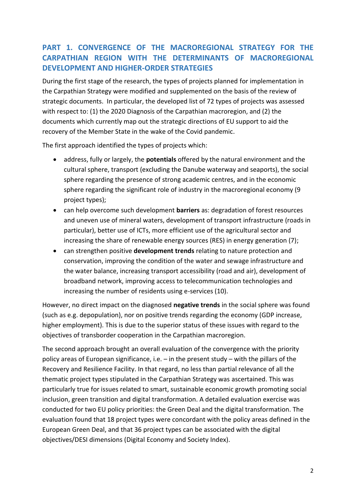# **PART 1. CONVERGENCE OF THE MACROREGIONAL STRATEGY FOR THE CARPATHIAN REGION WITH THE DETERMINANTS OF MACROREGIONAL DEVELOPMENT AND HIGHER-ORDER STRATEGIES**

During the first stage of the research, the types of projects planned for implementation in the Carpathian Strategy were modified and supplemented on the basis of the review of strategic documents. In particular, the developed list of 72 types of projects was assessed with respect to: (1) the 2020 Diagnosis of the Carpathian macroregion, and (2) the documents which currently map out the strategic directions of EU support to aid the recovery of the Member State in the wake of the Covid pandemic.

The first approach identified the types of projects which:

- address, fully or largely, the **potentials** offered by the natural environment and the cultural sphere, transport (excluding the Danube waterway and seaports), the social sphere regarding the presence of strong academic centres, and in the economic sphere regarding the significant role of industry in the macroregional economy (9 project types);
- can help overcome such development **barriers** as: degradation of forest resources and uneven use of mineral waters, development of transport infrastructure (roads in particular), better use of ICTs, more efficient use of the agricultural sector and increasing the share of renewable energy sources (RES) in energy generation (7);
- can strengthen positive **development trends** relating to nature protection and conservation, improving the condition of the water and sewage infrastructure and the water balance, increasing transport accessibility (road and air), development of broadband network, improving access to telecommunication technologies and increasing the number of residents using e-services (10).

However, no direct impact on the diagnosed **negative trends** in the social sphere was found (such as e.g. depopulation), nor on positive trends regarding the economy (GDP increase, higher employment). This is due to the superior status of these issues with regard to the objectives of transborder cooperation in the Carpathian macroregion.

The second approach brought an overall evaluation of the convergence with the priority policy areas of European significance, i.e. – in the present study – with the pillars of the Recovery and Resilience Facility. In that regard, no less than partial relevance of all the thematic project types stipulated in the Carpathian Strategy was ascertained. This was particularly true for issues related to smart, sustainable economic growth promoting social inclusion, green transition and digital transformation. A detailed evaluation exercise was conducted for two EU policy priorities: the Green Deal and the digital transformation. The evaluation found that 18 project types were concordant with the policy areas defined in the European Green Deal, and that 36 project types can be associated with the digital objectives/DESI dimensions (Digital Economy and Society Index).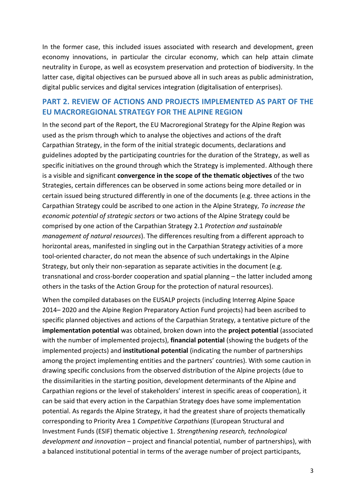In the former case, this included issues associated with research and development, green economy innovations, in particular the circular economy, which can help attain climate neutrality in Europe, as well as ecosystem preservation and protection of biodiversity. In the latter case, digital objectives can be pursued above all in such areas as public administration, digital public services and digital services integration (digitalisation of enterprises).

### **PART 2. REVIEW OF ACTIONS AND PROJECTS IMPLEMENTED AS PART OF THE EU MACROREGIONAL STRATEGY FOR THE ALPINE REGION**

In the second part of the Report, the EU Macroregional Strategy for the Alpine Region was used as the prism through which to analyse the objectives and actions of the draft Carpathian Strategy, in the form of the initial strategic documents, declarations and guidelines adopted by the participating countries for the duration of the Strategy, as well as specific initiatives on the ground through which the Strategy is implemented. Although there is a visible and significant **convergence in the scope of the thematic objectives** of the two Strategies, certain differences can be observed in some actions being more detailed or in certain issued being structured differently in one of the documents (e.g. three actions in the Carpathian Strategy could be ascribed to one action in the Alpine Strategy, *To increase the economic potential of strategic sectors* or two actions of the Alpine Strategy could be comprised by one action of the Carpathian Strategy 2.1 *Protection and sustainable management of natural resources*). The differences resulting from a different approach to horizontal areas, manifested in singling out in the Carpathian Strategy activities of a more tool-oriented character, do not mean the absence of such undertakings in the Alpine Strategy, but only their non-separation as separate activities in the document (e.g. transnational and cross-border cooperation and spatial planning – the latter included among others in the tasks of the Action Group for the protection of natural resources).

When the compiled databases on the EUSALP projects (including Interreg Alpine Space 2014– 2020 and the Alpine Region Preparatory Action Fund projects) had been ascribed to specific planned objectives and actions of the Carpathian Strategy, a tentative picture of the **implementation potential** was obtained, broken down into the **project potential** (associated with the number of implemented projects), **financial potential** (showing the budgets of the implemented projects) and **institutional potential** (indicating the number of partnerships among the project implementing entities and the partners' countries). With some caution in drawing specific conclusions from the observed distribution of the Alpine projects (due to the dissimilarities in the starting position, development determinants of the Alpine and Carpathian regions or the level of stakeholders' interest in specific areas of cooperation), it can be said that every action in the Carpathian Strategy does have some implementation potential. As regards the Alpine Strategy, it had the greatest share of projects thematically corresponding to Priority Area 1 *Competitive Carpathians* (European Structural and Investment Funds (ESIF) thematic objective 1. *Strengthening research, technological development and innovation* – project and financial potential, number of partnerships), with a balanced institutional potential in terms of the average number of project participants,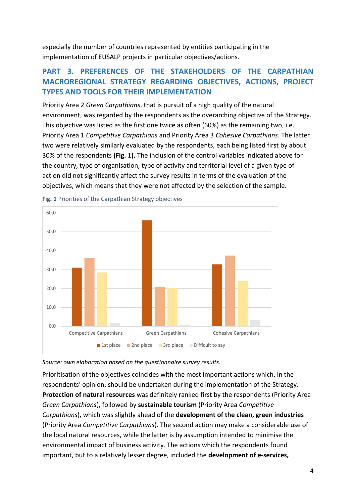especially the number of countries represented by entities participating in the implementation of EUSALP projects in particular objectives/actions.

# **PART 3. PREFERENCES OF THE STAKEHOLDERS OF THE CARPATHIAN MACROREGIONAL STRATEGY REGARDING OBJECTIVES, ACTIONS, PROJECT TYPES AND TOOLS FOR THEIR IMPLEMENTATION**

Priority Area 2 *Green Carpathians*, that is pursuit of a high quality of the natural environment, was regarded by the respondents as the overarching objective of the Strategy. This objective was listed as the first one twice as often (60%) as the remaining two, i.e. Priority Area 1 *Competitive Carpathians* and Priority Area 3 *Cohesive Carpathians*. The latter two were relatively similarly evaluated by the respondents, each being listed first by about 30% of the respondents **(Fig. 1).** The inclusion of the control variables indicated above for the country, type of organisation, type of activity and territorial level of a given type of action did not significantly affect the survey results in terms of the evaluation of the objectives, which means that they were not affected by the selection of the sample.



**Fig. 1** Priorities of the Carpathian Strategy objectives

*Source: own elaboration based on the questionnaire survey results.* 

Prioritisation of the objectives coincides with the most important actions which, in the respondents' opinion, should be undertaken during the implementation of the Strategy. **Protection of natural resources** was definitely ranked first by the respondents (Priority Area *Green Carpathians*), followed by **sustainable tourism** (Priority Area *Competitive Carpathians*), which was slightly ahead of the **development of the clean, green industries** (Priority Area *Competitive Carpathians*). The second action may make a considerable use of the local natural resources, while the latter is by assumption intended to minimise the environmental impact of business activity. The actions which the respondents found important, but to a relatively lesser degree, included the **development of e-services,**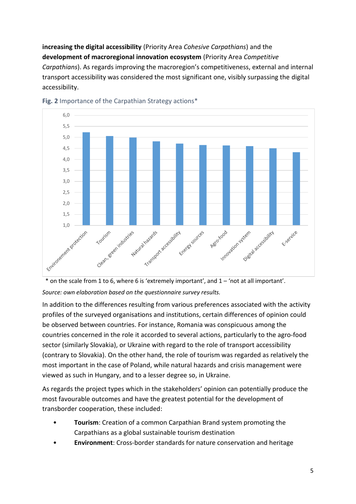**increasing the digital accessibility** (Priority Area *Cohesive Carpathians*) and the **development of macroregional innovation ecosystem** (Priority Area *Competitive Carpathians*). As regards improving the macroregion's competitiveness, external and internal transport accessibility was considered the most significant one, visibly surpassing the digital accessibility.



#### **Fig. 2** Importance of the Carpathian Strategy actions\*



#### *Source: own elaboration based on the questionnaire survey results.*

In addition to the differences resulting from various preferences associated with the activity profiles of the surveyed organisations and institutions, certain differences of opinion could be observed between countries. For instance, Romania was conspicuous among the countries concerned in the role it accorded to several actions, particularly to the agro-food sector (similarly Slovakia), or Ukraine with regard to the role of transport accessibility (contrary to Slovakia). On the other hand, the role of tourism was regarded as relatively the most important in the case of Poland, while natural hazards and crisis management were viewed as such in Hungary, and to a lesser degree so, in Ukraine.

As regards the project types which in the stakeholders' opinion can potentially produce the most favourable outcomes and have the greatest potential for the development of transborder cooperation, these included:

- **Tourism**: Creation of a common Carpathian Brand system promoting the Carpathians as a global sustainable tourism destination
- **Environment**: Cross-border standards for nature conservation and heritage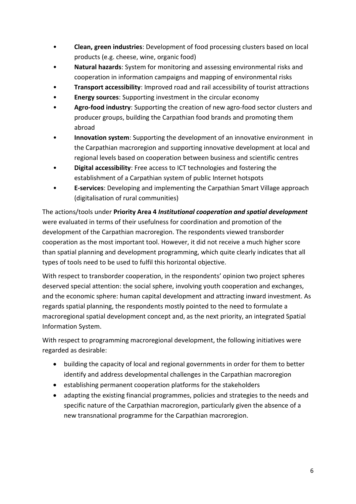- **Clean, green industries**: Development of food processing clusters based on local products (e.g. cheese, wine, organic food)
- **Natural hazards**: System for monitoring and assessing environmental risks and cooperation in information campaigns and mapping of environmental risks
- **Transport accessibility**: Improved road and rail accessibility of tourist attractions
- **Energy sources**: Supporting investment in the circular economy
- **Agro-food industry**: Supporting the creation of new agro-food sector clusters and producer groups, building the Carpathian food brands and promoting them abroad
- **Innovation system**: Supporting the development of an innovative environment in the Carpathian macroregion and supporting innovative development at local and regional levels based on cooperation between business and scientific centres
- **Digital accessibility**: Free access to ICT technologies and fostering the establishment of a Carpathian system of public Internet hotspots
- **E-services**: Developing and implementing the Carpathian Smart Village approach (digitalisation of rural communities)

The actions/tools under **Priority Area 4** *Institutional cooperation and spatial development* were evaluated in terms of their usefulness for coordination and promotion of the development of the Carpathian macroregion. The respondents viewed transborder cooperation as the most important tool. However, it did not receive a much higher score than spatial planning and development programming, which quite clearly indicates that all types of tools need to be used to fulfil this horizontal objective.

With respect to transborder cooperation, in the respondents' opinion two project spheres deserved special attention: the social sphere, involving youth cooperation and exchanges, and the economic sphere: human capital development and attracting inward investment. As regards spatial planning, the respondents mostly pointed to the need to formulate a macroregional spatial development concept and, as the next priority, an integrated Spatial Information System.

With respect to programming macroregional development, the following initiatives were regarded as desirable:

- building the capacity of local and regional governments in order for them to better identify and address developmental challenges in the Carpathian macroregion
- establishing permanent cooperation platforms for the stakeholders
- adapting the existing financial programmes, policies and strategies to the needs and specific nature of the Carpathian macroregion, particularly given the absence of a new transnational programme for the Carpathian macroregion.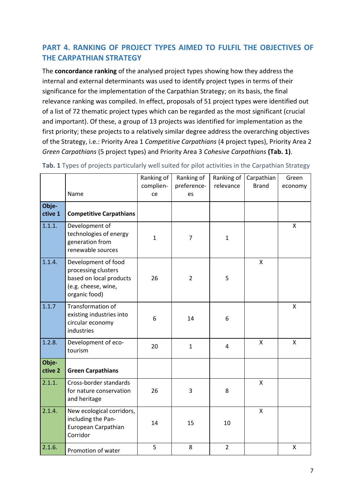## **PART 4. RANKING OF PROJECT TYPES AIMED TO FULFIL THE OBJECTIVES OF THE CARPATHIAN STRATEGY**

The **concordance ranking** of the analysed project types showing how they address the internal and external determinants was used to identify project types in terms of their significance for the implementation of the Carpathian Strategy; on its basis, the final relevance ranking was compiled. In effect, proposals of 51 project types were identified out of a list of 72 thematic project types which can be regarded as the most significant (crucial and important). Of these, a group of 13 projects was identified for implementation as the first priority; these projects to a relatively similar degree address the overarching objectives of the Strategy, i.e.: Priority Area 1 *Competitive Carpathians* (4 project types), Priority Area 2 *Green Carpathians* (5 project types) and Priority Area 3 *Cohesive Carpathians* **(Tab. 1)**.

|                  |                                                                                                               | Ranking of<br>complien- | Ranking of<br>preference- | Ranking of<br>relevance | Carpathian<br><b>Brand</b> | Green<br>economy |
|------------------|---------------------------------------------------------------------------------------------------------------|-------------------------|---------------------------|-------------------------|----------------------------|------------------|
|                  | Name                                                                                                          | ce                      | es                        |                         |                            |                  |
| Obje-<br>ctive 1 | <b>Competitive Carpathians</b>                                                                                |                         |                           |                         |                            |                  |
| 1.1.1.           | Development of<br>technologies of energy<br>generation from<br>renewable sources                              | $\mathbf{1}$            | $\overline{7}$            | $\mathbf{1}$            |                            | X                |
| 1.1.4.           | Development of food<br>processing clusters<br>based on local products<br>(e.g. cheese, wine,<br>organic food) | 26                      | $\overline{2}$            | 5                       | $\mathsf{X}$               |                  |
| 1.1.7            | Transformation of<br>existing industries into<br>circular economy<br>industries                               | 6                       | 14                        | 6                       |                            | X                |
| 1.2.8.           | Development of eco-<br>tourism                                                                                | 20                      | $\mathbf{1}$              | $\overline{4}$          | $\mathsf{X}$               | X                |
| Obje-<br>ctive 2 | <b>Green Carpathians</b>                                                                                      |                         |                           |                         |                            |                  |
| 2.1.1.           | Cross-border standards<br>for nature conservation<br>and heritage                                             | 26                      | 3                         | 8                       | X                          |                  |
| 2.1.4.           | New ecological corridors,<br>including the Pan-<br>European Carpathian<br>Corridor                            | 14                      | 15                        | 10                      | $\mathsf{x}$               |                  |
| 2.1.6.           | Promotion of water                                                                                            | 5                       | 8                         | $\overline{2}$          |                            | X                |

**Tab. 1** Types of projects particularly well suited for pilot activities in the Carpathian Strategy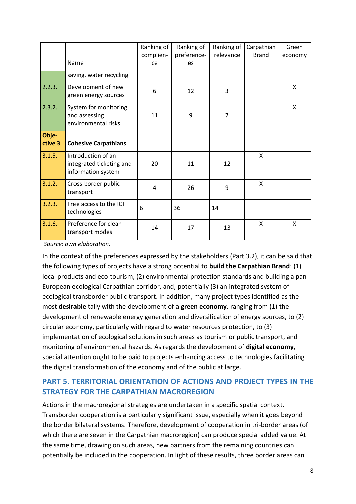|                  |                                                                      | Ranking of<br>complien- | Ranking of<br>preference- | Ranking of<br>relevance | Carpathian<br><b>Brand</b> | Green<br>economy |
|------------------|----------------------------------------------------------------------|-------------------------|---------------------------|-------------------------|----------------------------|------------------|
|                  | Name                                                                 | ce                      | es                        |                         |                            |                  |
|                  | saving, water recycling                                              |                         |                           |                         |                            |                  |
| 2.2.3.           | Development of new<br>green energy sources                           | 6                       | 12                        | 3                       |                            | X                |
| 2.3.2.           | System for monitoring<br>and assessing<br>environmental risks        | 11                      | 9                         | 7                       |                            | X                |
| Obje-<br>ctive 3 | <b>Cohesive Carpathians</b>                                          |                         |                           |                         |                            |                  |
| 3.1.5.           | Introduction of an<br>integrated ticketing and<br>information system | 20                      | 11                        | 12                      | $\mathsf{x}$               |                  |
| 3.1.2.           | Cross-border public<br>transport                                     | 4                       | 26                        | 9                       | X                          |                  |
| 3.2.3.           | Free access to the ICT<br>technologies                               | 6                       | 36                        | 14                      |                            |                  |
| 3.1.6.           | Preference for clean<br>transport modes                              | 14                      | 17                        | 13                      | $\mathsf{x}$               | X                |

*Source: own elaboration.*

In the context of the preferences expressed by the stakeholders (Part 3.2), it can be said that the following types of projects have a strong potential to **build the Carpathian Brand**: (1) local products and eco-tourism, (2) environmental protection standards and building a pan-European ecological Carpathian corridor, and, potentially (3) an integrated system of ecological transborder public transport. In addition, many project types identified as the most **desirable** tally with the development of a **green economy**, ranging from (1) the development of renewable energy generation and diversification of energy sources, to (2) circular economy, particularly with regard to water resources protection, to (3) implementation of ecological solutions in such areas as tourism or public transport, and monitoring of environmental hazards. As regards the development of **digital economy**, special attention ought to be paid to projects enhancing access to technologies facilitating the digital transformation of the economy and of the public at large.

## **PART 5. TERRITORIAL ORIENTATION OF ACTIONS AND PROJECT TYPES IN THE STRATEGY FOR THE CARPATHIAN MACROREGION**

Actions in the macroregional strategies are undertaken in a specific spatial context. Transborder cooperation is a particularly significant issue, especially when it goes beyond the border bilateral systems. Therefore, development of cooperation in tri-border areas (of which there are seven in the Carpathian macroregion) can produce special added value. At the same time, drawing on such areas, new partners from the remaining countries can potentially be included in the cooperation. In light of these results, three border areas can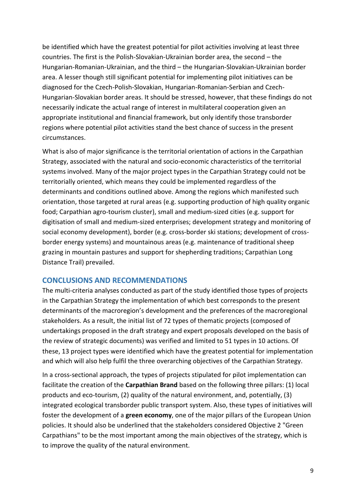be identified which have the greatest potential for pilot activities involving at least three countries. The first is the Polish-Slovakian-Ukrainian border area, the second – the Hungarian-Romanian-Ukrainian, and the third – the Hungarian-Slovakian-Ukrainian border area. A lesser though still significant potential for implementing pilot initiatives can be diagnosed for the Czech-Polish-Slovakian, Hungarian-Romanian-Serbian and Czech-Hungarian-Slovakian border areas. It should be stressed, however, that these findings do not necessarily indicate the actual range of interest in multilateral cooperation given an appropriate institutional and financial framework, but only identify those transborder regions where potential pilot activities stand the best chance of success in the present circumstances.

What is also of major significance is the territorial orientation of actions in the Carpathian Strategy, associated with the natural and socio-economic characteristics of the territorial systems involved. Many of the major project types in the Carpathian Strategy could not be territorially oriented, which means they could be implemented regardless of the determinants and conditions outlined above. Among the regions which manifested such orientation, those targeted at rural areas (e.g. supporting production of high quality organic food; Carpathian agro-tourism cluster), small and medium-sized cities (e.g. support for digitisation of small and medium-sized enterprises; development strategy and monitoring of social economy development), border (e.g. cross-border ski stations; development of crossborder energy systems) and mountainous areas (e.g. maintenance of traditional sheep grazing in mountain pastures and support for shepherding traditions; Carpathian Long Distance Trail) prevailed.

### **CONCLUSIONS AND RECOMMENDATIONS**

The multi-criteria analyses conducted as part of the study identified those types of projects in the Carpathian Strategy the implementation of which best corresponds to the present determinants of the macroregion's development and the preferences of the macroregional stakeholders. As a result, the initial list of 72 types of thematic projects (composed of undertakings proposed in the draft strategy and expert proposals developed on the basis of the review of strategic documents) was verified and limited to 51 types in 10 actions. Of these, 13 project types were identified which have the greatest potential for implementation and which will also help fulfil the three overarching objectives of the Carpathian Strategy.

In a cross-sectional approach, the types of projects stipulated for pilot implementation can facilitate the creation of the **Carpathian Brand** based on the following three pillars: (1) local products and eco-tourism, (2) quality of the natural environment, and, potentially, (3) integrated ecological transborder public transport system. Also, these types of initiatives will foster the development of a **green economy**, one of the major pillars of the European Union policies. It should also be underlined that the stakeholders considered Objective 2 "Green Carpathians" to be the most important among the main objectives of the strategy, which is to improve the quality of the natural environment.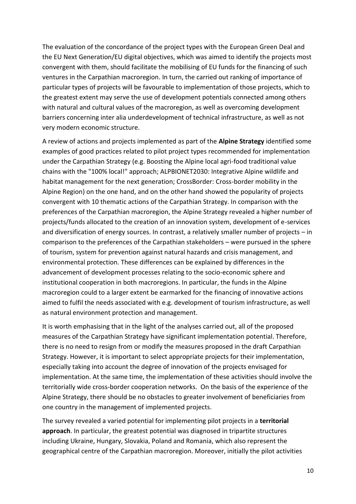The evaluation of the concordance of the project types with the European Green Deal and the EU Next Generation/EU digital objectives, which was aimed to identify the projects most convergent with them, should facilitate the mobilising of EU funds for the financing of such ventures in the Carpathian macroregion. In turn, the carried out ranking of importance of particular types of projects will be favourable to implementation of those projects, which to the greatest extent may serve the use of development potentials connected among others with natural and cultural values of the macroregion, as well as overcoming development barriers concerning inter alia underdevelopment of technical infrastructure, as well as not very modern economic structure.

A review of actions and projects implemented as part of the **Alpine Strategy** identified some examples of good practices related to pilot project types recommended for implementation under the Carpathian Strategy (e.g. Boosting the Alpine local agri-food traditional value chains with the "100% local!" approach; ALPBIONET2030: Integrative Alpine wildlife and habitat management for the next generation; CrossBorder: Cross-border mobility in the Alpine Region) on the one hand, and on the other hand showed the popularity of projects convergent with 10 thematic actions of the Carpathian Strategy. In comparison with the preferences of the Carpathian macroregion, the Alpine Strategy revealed a higher number of projects/funds allocated to the creation of an innovation system, development of e-services and diversification of energy sources. In contrast, a relatively smaller number of projects – in comparison to the preferences of the Carpathian stakeholders – were pursued in the sphere of tourism, system for prevention against natural hazards and crisis management, and environmental protection. These differences can be explained by differences in the advancement of development processes relating to the socio-economic sphere and institutional cooperation in both macroregions. In particular, the funds in the Alpine macroregion could to a larger extent be earmarked for the financing of innovative actions aimed to fulfil the needs associated with e.g. development of tourism infrastructure, as well as natural environment protection and management.

It is worth emphasising that in the light of the analyses carried out, all of the proposed measures of the Carpathian Strategy have significant implementation potential. Therefore, there is no need to resign from or modify the measures proposed in the draft Carpathian Strategy. However, it is important to select appropriate projects for their implementation, especially taking into account the degree of innovation of the projects envisaged for implementation. At the same time, the implementation of these activities should involve the territorially wide cross-border cooperation networks. On the basis of the experience of the Alpine Strategy, there should be no obstacles to greater involvement of beneficiaries from one country in the management of implemented projects.

The survey revealed a varied potential for implementing pilot projects in a **territorial approach**. In particular, the greatest potential was diagnosed in tripartite structures including Ukraine, Hungary, Slovakia, Poland and Romania, which also represent the geographical centre of the Carpathian macroregion. Moreover, initially the pilot activities